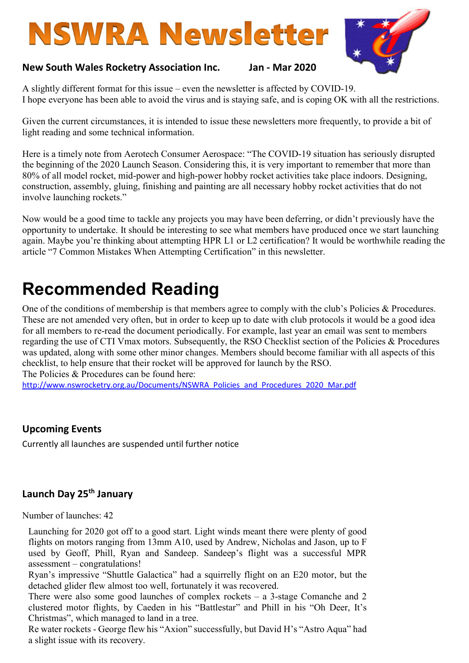# **NSWRA Newsletter**



### New South Wales Rocketry Association Inc. Jan - Mar 2020

A slightly different format for this issue – even the newsletter is affected by COVID-19. I hope everyone has been able to avoid the virus and is staying safe, and is coping OK with all the restrictions.

Given the current circumstances, it is intended to issue these newsletters more frequently, to provide a bit of light reading and some technical information.

Here is a timely note from Aerotech Consumer Aerospace: "The COVID-19 situation has seriously disrupted the beginning of the 2020 Launch Season. Considering this, it is very important to remember that more than 80% of all model rocket, mid-power and high-power hobby rocket activities take place indoors. Designing, construction, assembly, gluing, finishing and painting are all necessary hobby rocket activities that do not involve launching rockets."

Now would be a good time to tackle any projects you may have been deferring, or didn't previously have the opportunity to undertake. It should be interesting to see what members have produced once we start launching again. Maybe you're thinking about attempting HPR L1 or L2 certification? It would be worthwhile reading the article "7 Common Mistakes When Attempting Certification" in this newsletter.

# Recommended Reading

One of the conditions of membership is that members agree to comply with the club's Policies & Procedures. These are not amended very often, but in order to keep up to date with club protocols it would be a good idea for all members to re-read the document periodically. For example, last year an email was sent to members regarding the use of CTI Vmax motors. Subsequently, the RSO Checklist section of the Policies & Procedures was updated, along with some other minor changes. Members should become familiar with all aspects of this checklist, to help ensure that their rocket will be approved for launch by the RSO.

The Policies & Procedures can be found here:

http://www.nswrocketry.org.au/Documents/NSWRA\_Policies\_and\_Procedures\_2020\_Mar.pdf

## Upcoming Events

Currently all launches are suspended until further notice

# Launch Day 25<sup>th</sup> January

Number of launches: 42

Launching for 2020 got off to a good start. Light winds meant there were plenty of good flights on motors ranging from 13mm A10, used by Andrew, Nicholas and Jason, up to F used by Geoff, Phill, Ryan and Sandeep. Sandeep's flight was a successful MPR assessment – congratulations!

Ryan's impressive "Shuttle Galactica" had a squirrelly flight on an E20 motor, but the detached glider flew almost too well, fortunately it was recovered.

There were also some good launches of complex rockets – a 3-stage Comanche and 2 clustered motor flights, by Caeden in his "Battlestar" and Phill in his "Oh Deer, It's Christmas", which managed to land in a tree.

Re water rockets - George flew his "Axion" successfully, but David H's "Astro Aqua" had a slight issue with its recovery.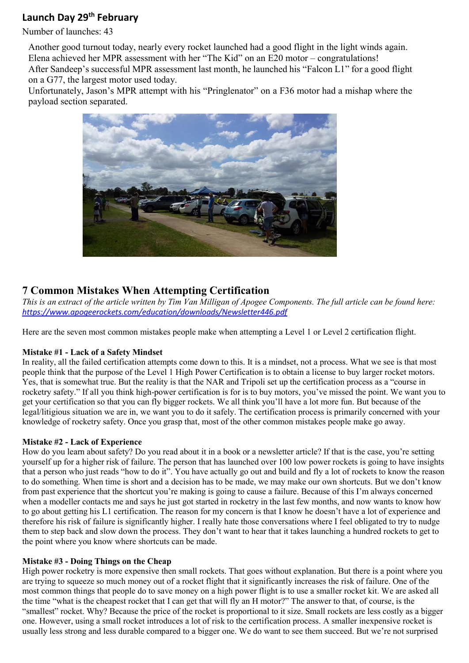# Launch Day 29<sup>th</sup> February

Number of launches: 43

Another good turnout today, nearly every rocket launched had a good flight in the light winds again. Elena achieved her MPR assessment with her "The Kid" on an E20 motor – congratulations!

After Sandeep's successful MPR assessment last month, he launched his "Falcon L1" for a good flight on a G77, the largest motor used today.

Unfortunately, Jason's MPR attempt with his "Pringlenator" on a F36 motor had a mishap where the payload section separated.



# 7 Common Mistakes When Attempting Certification

This is an extract of the article written by Tim Van Milligan of Apogee Components. The full article can be found here: https://www.apogeerockets.com/education/downloads/Newsletter446.pdf

Here are the seven most common mistakes people make when attempting a Level 1 or Level 2 certification flight.

#### Mistake #1 - Lack of a Safety Mindset

In reality, all the failed certification attempts come down to this. It is a mindset, not a process. What we see is that most people think that the purpose of the Level 1 High Power Certification is to obtain a license to buy larger rocket motors. Yes, that is somewhat true. But the reality is that the NAR and Tripoli set up the certification process as a "course in rocketry safety." If all you think high-power certification is for is to buy motors, you've missed the point. We want you to get your certification so that you can fly bigger rockets. We all think you'll have a lot more fun. But because of the legal/litigious situation we are in, we want you to do it safely. The certification process is primarily concerned with your knowledge of rocketry safety. Once you grasp that, most of the other common mistakes people make go away.

#### Mistake #2 - Lack of Experience

How do you learn about safety? Do you read about it in a book or a newsletter article? If that is the case, you're setting yourself up for a higher risk of failure. The person that has launched over 100 low power rockets is going to have insights that a person who just reads "how to do it". You have actually go out and build and fly a lot of rockets to know the reason to do something. When time is short and a decision has to be made, we may make our own shortcuts. But we don't know from past experience that the shortcut you're making is going to cause a failure. Because of this I'm always concerned when a modeller contacts me and says he just got started in rocketry in the last few months, and now wants to know how to go about getting his L1 certification. The reason for my concern is that I know he doesn't have a lot of experience and therefore his risk of failure is significantly higher. I really hate those conversations where I feel obligated to try to nudge them to step back and slow down the process. They don't want to hear that it takes launching a hundred rockets to get to the point where you know where shortcuts can be made.

#### Mistake #3 - Doing Things on the Cheap

High power rocketry is more expensive then small rockets. That goes without explanation. But there is a point where you are trying to squeeze so much money out of a rocket flight that it significantly increases the risk of failure. One of the most common things that people do to save money on a high power flight is to use a smaller rocket kit. We are asked all the time "what is the cheapest rocket that I can get that will fly an H motor?" The answer to that, of course, is the "smallest" rocket. Why? Because the price of the rocket is proportional to it size. Small rockets are less costly as a bigger one. However, using a small rocket introduces a lot of risk to the certification process. A smaller inexpensive rocket is usually less strong and less durable compared to a bigger one. We do want to see them succeed. But we're not surprised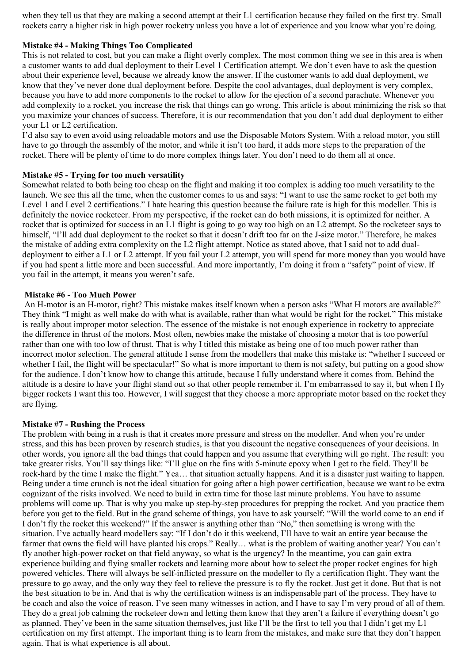when they tell us that they are making a second attempt at their L1 certification because they failed on the first try. Small rockets carry a higher risk in high power rocketry unless you have a lot of experience and you know what you're doing.

#### Mistake #4 - Making Things Too Complicated

This is not related to cost, but you can make a flight overly complex. The most common thing we see in this area is when a customer wants to add dual deployment to their Level 1 Certification attempt. We don't even have to ask the question about their experience level, because we already know the answer. If the customer wants to add dual deployment, we know that they've never done dual deployment before. Despite the cool advantages, dual deployment is very complex, because you have to add more components to the rocket to allow for the ejection of a second parachute. Whenever you add complexity to a rocket, you increase the risk that things can go wrong. This article is about minimizing the risk so that you maximize your chances of success. Therefore, it is our recommendation that you don't add dual deployment to either your L1 or L2 certification.

I'd also say to even avoid using reloadable motors and use the Disposable Motors System. With a reload motor, you still have to go through the assembly of the motor, and while it isn't too hard, it adds more steps to the preparation of the rocket. There will be plenty of time to do more complex things later. You don't need to do them all at once.

#### Mistake #5 - Trying for too much versatility

Somewhat related to both being too cheap on the flight and making it too complex is adding too much versatility to the launch. We see this all the time, when the customer comes to us and says: "I want to use the same rocket to get both my Level 1 and Level 2 certifications." I hate hearing this question because the failure rate is high for this modeller. This is definitely the novice rocketeer. From my perspective, if the rocket can do both missions, it is optimized for neither. A rocket that is optimized for success in an L1 flight is going to go way too high on an L2 attempt. So the rocketeer says to himself, "I'll add dual deployment to the rocket so that it doesn't drift too far on the J-size motor." Therefore, he makes the mistake of adding extra complexity on the L2 flight attempt. Notice as stated above, that I said not to add dualdeployment to either a L1 or L2 attempt. If you fail your L2 attempt, you will spend far more money than you would have if you had spent a little more and been successful. And more importantly, I'm doing it from a "safety" point of view. If you fail in the attempt, it means you weren't safe.

#### Mistake #6 - Too Much Power

 An H-motor is an H-motor, right? This mistake makes itself known when a person asks "What H motors are available?" They think "I might as well make do with what is available, rather than what would be right for the rocket." This mistake is really about improper motor selection. The essence of the mistake is not enough experience in rocketry to appreciate the difference in thrust of the motors. Most often, newbies make the mistake of choosing a motor that is too powerful rather than one with too low of thrust. That is why I titled this mistake as being one of too much power rather than incorrect motor selection. The general attitude I sense from the modellers that make this mistake is: "whether I succeed or whether I fail, the flight will be spectacular!" So what is more important to them is not safety, but putting on a good show for the audience. I don't know how to change this attitude, because I fully understand where it comes from. Behind the attitude is a desire to have your flight stand out so that other people remember it. I'm embarrassed to say it, but when I fly bigger rockets I want this too. However, I will suggest that they choose a more appropriate motor based on the rocket they are flying.

#### Mistake #7 - Rushing the Process

The problem with being in a rush is that it creates more pressure and stress on the modeller. And when you're under stress, and this has been proven by research studies, is that you discount the negative consequences of your decisions. In other words, you ignore all the bad things that could happen and you assume that everything will go right. The result: you take greater risks. You'll say things like: "I'll glue on the fins with 5-minute epoxy when I get to the field. They'll be rock-hard by the time I make the flight." Yea… that situation actually happens. And it is a disaster just waiting to happen. Being under a time crunch is not the ideal situation for going after a high power certification, because we want to be extra cognizant of the risks involved. We need to build in extra time for those last minute problems. You have to assume problems will come up. That is why you make up step-by-step procedures for prepping the rocket. And you practice them before you get to the field. But in the grand scheme of things, you have to ask yourself: "Will the world come to an end if I don't fly the rocket this weekend?" If the answer is anything other than "No," then something is wrong with the situation. I've actually heard modellers say: "If I don't do it this weekend, I'll have to wait an entire year because the farmer that owns the field will have planted his crops." Really… what is the problem of waiting another year? You can't fly another high-power rocket on that field anyway, so what is the urgency? In the meantime, you can gain extra experience building and flying smaller rockets and learning more about how to select the proper rocket engines for high powered vehicles. There will always be self-inflicted pressure on the modeller to fly a certification flight. They want the pressure to go away, and the only way they feel to relieve the pressure is to fly the rocket. Just get it done. But that is not the best situation to be in. And that is why the certification witness is an indispensable part of the process. They have to be coach and also the voice of reason. I've seen many witnesses in action, and I have to say I'm very proud of all of them. They do a great job calming the rocketeer down and letting them know that they aren't a failure if everything doesn't go as planned. They've been in the same situation themselves, just like I'll be the first to tell you that I didn't get my L1 certification on my first attempt. The important thing is to learn from the mistakes, and make sure that they don't happen again. That is what experience is all about.